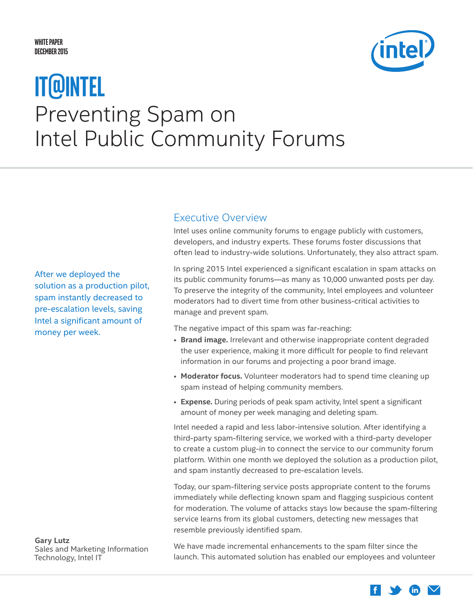### <span id="page-0-0"></span>**White Paper December 2015**



# Preventing Spam on Intel Public Community Forums **IT@Intel**

After we deployed the solution as a production pilot, spam instantly decreased to pre-escalation levels, saving Intel a significant amount of money per week.

**Gary Lutz** Sales and Marketing Information Technology, Intel IT

Executive Overview

Intel uses online community forums to engage publicly with customers, developers, and industry experts. These forums foster discussions that often lead to industry-wide solutions. Unfortunately, they also attract spam.

In spring 2015 Intel experienced a significant escalation in spam attacks on its public community forums—as many as 10,000 unwanted posts per day. To preserve the integrity of the community, Intel employees and volunteer moderators had to divert time from other business-critical activities to manage and prevent spam.

The negative impact of this spam was far-reaching:

- **Brand image.** Irrelevant and otherwise inappropriate content degraded the user experience, making it more difficult for people to find relevant information in our forums and projecting a poor brand image.
- **Moderator focus.** Volunteer moderators had to spend time cleaning up spam instead of helping community members.
- **Expense.** During periods of peak spam activity, Intel spent a significant amount of money per week managing and deleting spam.

Intel needed a rapid and less labor-intensive solution. After identifying a third-party spam-filtering service, we worked with a third-party developer to create a custom plug-in to connect the service to our community forum platform. Within one month we deployed the solution as a production pilot, and spam instantly decreased to pre-escalation levels.

Today, our spam-filtering service posts appropriate content to the forums immediately while deflecting known spam and flagging suspicious content for moderation. The volume of attacks stays low because the spam-filtering service learns from its global customers, detecting new messages that resemble previously identified spam.

We have made incremental enhancements to the spam filter since the launch. This automated solution has enabled our employees and volunteer

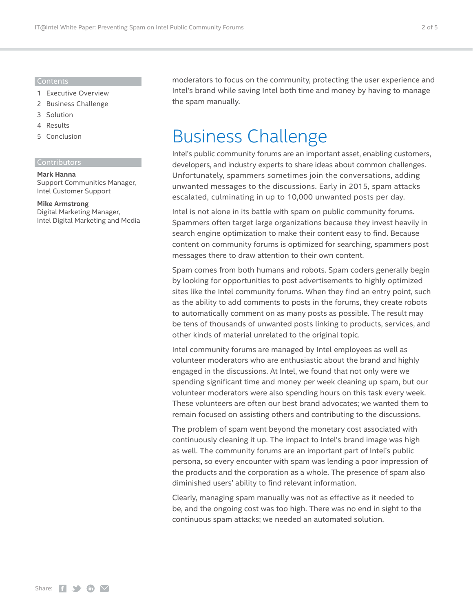#### Contents

- 1 [Executive Overview](#page-0-0)
- 2 Business Challenge
- 3 [Solution](#page-2-0)
- 4 [Results](#page-3-0)
- 5 [Conclusion](#page-4-0)

### **Contributors**

#### **Mark Hanna**

Support Communities Manager, Intel Customer Support

#### **Mike Armstrong**

Digital Marketing Manager, Intel Digital Marketing and Media moderators to focus on the community, protecting the user experience and Intel's brand while saving Intel both time and money by having to manage the spam manually.

## Business Challenge

Intel's public community forums are an important asset, enabling customers, developers, and industry experts to share ideas about common challenges. Unfortunately, spammers sometimes join the conversations, adding unwanted messages to the discussions. Early in 2015, spam attacks escalated, culminating in up to 10,000 unwanted posts per day.

Intel is not alone in its battle with spam on public community forums. Spammers often target large organizations because they invest heavily in search engine optimization to make their content easy to find. Because content on community forums is optimized for searching, spammers post messages there to draw attention to their own content.

Spam comes from both humans and robots. Spam coders generally begin by looking for opportunities to post advertisements to highly optimized sites like the Intel community forums. When they find an entry point, such as the ability to add comments to posts in the forums, they create robots to automatically comment on as many posts as possible. The result may be tens of thousands of unwanted posts linking to products, services, and other kinds of material unrelated to the original topic.

Intel community forums are managed by Intel employees as well as volunteer moderators who are enthusiastic about the brand and highly engaged in the discussions. At Intel, we found that not only were we spending significant time and money per week cleaning up spam, but our volunteer moderators were also spending hours on this task every week. These volunteers are often our best brand advocates; we wanted them to remain focused on assisting others and contributing to the discussions.

The problem of spam went beyond the monetary cost associated with continuously cleaning it up. The impact to Intel's brand image was high as well. The community forums are an important part of Intel's public persona, so every encounter with spam was lending a poor impression of the products and the corporation as a whole. The presence of spam also diminished users' ability to find relevant information.

Clearly, managing spam manually was not as effective as it needed to be, and the ongoing cost was too high. There was no end in sight to the continuous spam attacks; we needed an automated solution.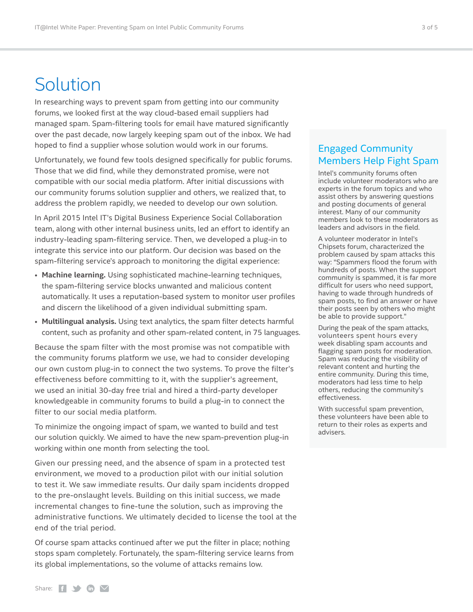# <span id="page-2-0"></span>Solution

In researching ways to prevent spam from getting into our community forums, we looked first at the way cloud-based email suppliers had managed spam. Spam-filtering tools for email have matured significantly over the past decade, now largely keeping spam out of the inbox. We had hoped to find a supplier whose solution would work in our forums.

Unfortunately, we found few tools designed specifically for public forums. Those that we did find, while they demonstrated promise, were not compatible with our social media platform. After initial discussions with our community forums solution supplier and others, we realized that, to address the problem rapidly, we needed to develop our own solution.

In April 2015 Intel IT's Digital Business Experience Social Collaboration team, along with other internal business units, led an effort to identify an industry-leading spam-filtering service. Then, we developed a plug-in to integrate this service into our platform. Our decision was based on the spam-filtering service's approach to monitoring the digital experience:

- **Machine learning.** Using sophisticated machine-learning techniques, the spam-filtering service blocks unwanted and malicious content automatically. It uses a reputation-based system to monitor user profiles and discern the likelihood of a given individual submitting spam.
- **Multilingual analysis.** Using text analytics, the spam filter detects harmful content, such as profanity and other spam-related content, in 75 languages.

Because the spam filter with the most promise was not compatible with the community forums platform we use, we had to consider developing our own custom plug-in to connect the two systems. To prove the filter's effectiveness before committing to it, with the supplier's agreement, we used an initial 30-day free trial and hired a third-party developer knowledgeable in community forums to build a plug-in to connect the filter to our social media platform.

To minimize the ongoing impact of spam, we wanted to build and test our solution quickly. We aimed to have the new spam-prevention plug-in working within one month from selecting the tool.

Given our pressing need, and the absence of spam in a protected test environment, we moved to a production pilot with our initial solution to test it. We saw immediate results. Our daily spam incidents dropped to the pre-onslaught levels. Building on this initial success, we made incremental changes to fine-tune the solution, such as improving the administrative functions. We ultimately decided to license the tool at the end of the trial period.

Of course spam attacks continued after we put the filter in place; nothing stops spam completely. Fortunately, the spam-filtering service learns from its global implementations, so the volume of attacks remains low.

### Engaged Community Members Help Fight Spam

Intel's community forums often include volunteer moderators who are experts in the forum topics and who assist others by answering questions and posting documents of general interest. Many of our community members look to these moderators as leaders and advisors in the field.

A volunteer moderator in Intel's Chipsets forum, characterized the problem caused by spam attacks this way: "Spammers flood the forum with hundreds of posts. When the support community is spammed, it is far more difficult for users who need support, having to wade through hundreds of spam posts, to find an answer or have their posts seen by others who might be able to provide support."

During the peak of the spam attacks, volunteers spent hours every week disabling spam accounts and flagging spam posts for moderation. Spam was reducing the visibility of relevant content and hurting the entire community. During this time, moderators had less time to help others, reducing the community's effectiveness.

With successful spam prevention, these volunteers have been able to return to their roles as experts and advisers.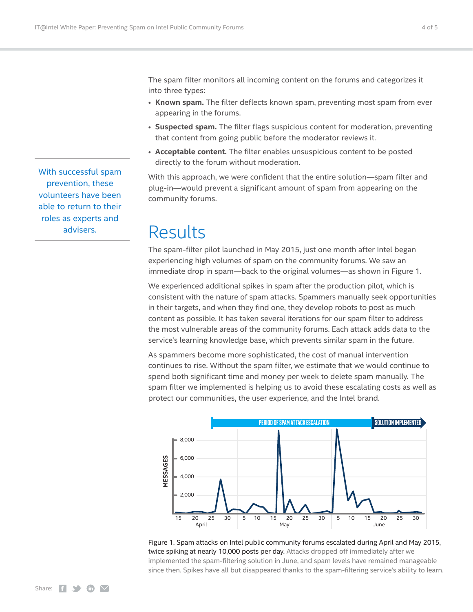With successful spam prevention, these volunteers have been able to return to their roles as experts and advisers.

<span id="page-3-0"></span>The spam filter monitors all incoming content on the forums and categorizes it into three types:

- **Known spam.** The filter deflects known spam, preventing most spam from ever appearing in the forums.
- **Suspected spam.** The filter flags suspicious content for moderation, preventing that content from going public before the moderator reviews it.
- **Acceptable content.** The filter enables unsuspicious content to be posted directly to the forum without moderation.

With this approach, we were confident that the entire solution—spam filter and plug-in—would prevent a significant amount of spam from appearing on the community forums.

### Results

The spam-filter pilot launched in May 2015, just one month after Intel began experiencing high volumes of spam on the community forums. We saw an immediate drop in spam—back to the original volumes—as shown in Figure 1.

We experienced additional spikes in spam after the production pilot, which is consistent with the nature of spam attacks. Spammers manually seek opportunities in their targets, and when they find one, they develop robots to post as much content as possible. It has taken several iterations for our spam filter to address the most vulnerable areas of the community forums. Each attack adds data to the service's learning knowledge base, which prevents similar spam in the future.

As spammers become more sophisticated, the cost of manual intervention continues to rise. Without the spam filter, we estimate that we would continue to spend both significant time and money per week to delete spam manually. The spam filter we implemented is helping us to avoid these escalating costs as well as protect our communities, the user experience, and the Intel brand.



Figure 1. Spam attacks on Intel public community forums escalated during April and May 2015, twice spiking at nearly 10,000 posts per day. Attacks dropped off immediately after we implemented the spam-filtering solution in June, and spam levels have remained manageable since then. Spikes have all but disappeared thanks to the spam-filtering service's ability to learn.